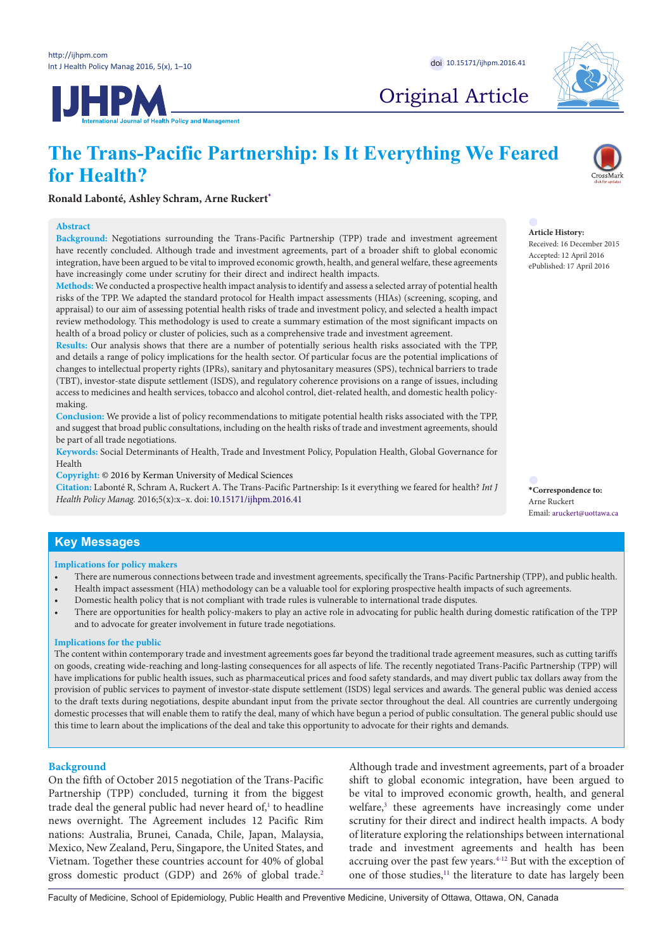**JHPM** 



Original Article

# **The Trans-Pacific Partnership: Is It Everything We Feared for Health?**



**Ronald Labonté, Ashley Schram, Arne Ruckert[\\*](#page-0-0)**

## **Abstract**

**Background:** Negotiations surrounding the Trans-Pacific Partnership (TPP) trade and investment agreement have recently concluded. Although trade and investment agreements, part of a broader shift to global economic integration, have been argued to be vital to improved economic growth, health, and general welfare, these agreements have increasingly come under scrutiny for their direct and indirect health impacts.

**Methods:** We conducted a prospective health impact analysis to identify and assess a selected array of potential health risks of the TPP. We adapted the standard protocol for Health impact assessments (HIAs) (screening, scoping, and appraisal) to our aim of assessing potential health risks of trade and investment policy, and selected a health impact review methodology. This methodology is used to create a summary estimation of the most significant impacts on health of a broad policy or cluster of policies, such as a comprehensive trade and investment agreement.

**Results:** Our analysis shows that there are a number of potentially serious health risks associated with the TPP, and details a range of policy implications for the health sector. Of particular focus are the potential implications of changes to intellectual property rights (IPRs), sanitary and phytosanitary measures (SPS), technical barriers to trade (TBT), investor-state dispute settlement (ISDS), and regulatory coherence provisions on a range of issues, including access to medicines and health services, tobacco and alcohol control, diet-related health, and domestic health policymaking.

**Conclusion:** We provide a list of policy recommendations to mitigate potential health risks associated with the TPP, and suggest that broad public consultations, including on the health risks of trade and investment agreements, should be part of all trade negotiations.

**Keywords:** Social Determinants of Health, Trade and Investment Policy, Population Health, Global Governance for Health

**Copyright:** © 2016 by Kerman University of Medical Sciences

**Citation:** Labonté R, Schram A, Ruckert A. The Trans-Pacific Partnership: Is it everything we feared for health? *Int J Health Policy Manag.* 2016;5(x):x–x. doi: 10.15171/ijhpm.2016.41 **\*Correspondence to:**

# **Key Messages**

#### **Implications for policy makers**

- There are numerous connections between trade and investment agreements, specifically the Trans-Pacific Partnership (TPP), and public health.
- Health impact assessment (HIA) methodology can be a valuable tool for exploring prospective health impacts of such agreements.
- Domestic health policy that is not compliant with trade rules is vulnerable to international trade disputes.
- There are opportunities for health policy-makers to play an active role in advocating for public health during domestic ratification of the TPP and to advocate for greater involvement in future trade negotiations.

## **Implications for the public**

The content within contemporary trade and investment agreements goes far beyond the traditional trade agreement measures, such as cutting tariffs on goods, creating wide-reaching and long-lasting consequences for all aspects of life. The recently negotiated Trans-Pacific Partnership (TPP) will have implications for public health issues, such as pharmaceutical prices and food safety standards, and may divert public tax dollars away from the provision of public services to payment of investor-state dispute settlement (ISDS) legal services and awards. The general public was denied access to the draft texts during negotiations, despite abundant input from the private sector throughout the deal. All countries are currently undergoing domestic processes that will enable them to ratify the deal, many of which have begun a period of public consultation. The general public should use this time to learn about the implications of the deal and take this opportunity to advocate for their rights and demands.

# **Background**

On the fifth of October 2015 negotiation of the Trans-Pacific Partnership (TPP) concluded, turning it from the biggest trade deal the general public had never heard of,<sup>[1](#page-7-0)</sup> to headline news overnight. The Agreement includes 12 Pacific Rim nations: Australia, Brunei, Canada, Chile, Japan, Malaysia, Mexico, New Zealand, Peru, Singapore, the United States, and Vietnam. Together these countries account for 40% of global gross domestic product (GDP) and [2](#page-7-1)6% of global trade.<sup>2</sup>

Although trade and investment agreements, part of a broader shift to global economic integration, have been argued to be vital to improved economic growth, health, and general welfare,<sup>3</sup> these agreements have increasingly come under scrutiny for their direct and indirect health impacts. A body of literature exploring the relationships between international trade and investment agreements and health has been accruing over the past few years.<sup>4-12</sup> But with the exception of one of those studies,<sup>11</sup> the literature to date has largely been

Faculty of Medicine, School of Epidemiology, Public Health and Preventive Medicine, University of Ottawa, Ottawa, ON, Canada



**Article History:** Received: 16 December 2015

<span id="page-0-0"></span>Arne Ruckert Email: aruckert@uottawa.ca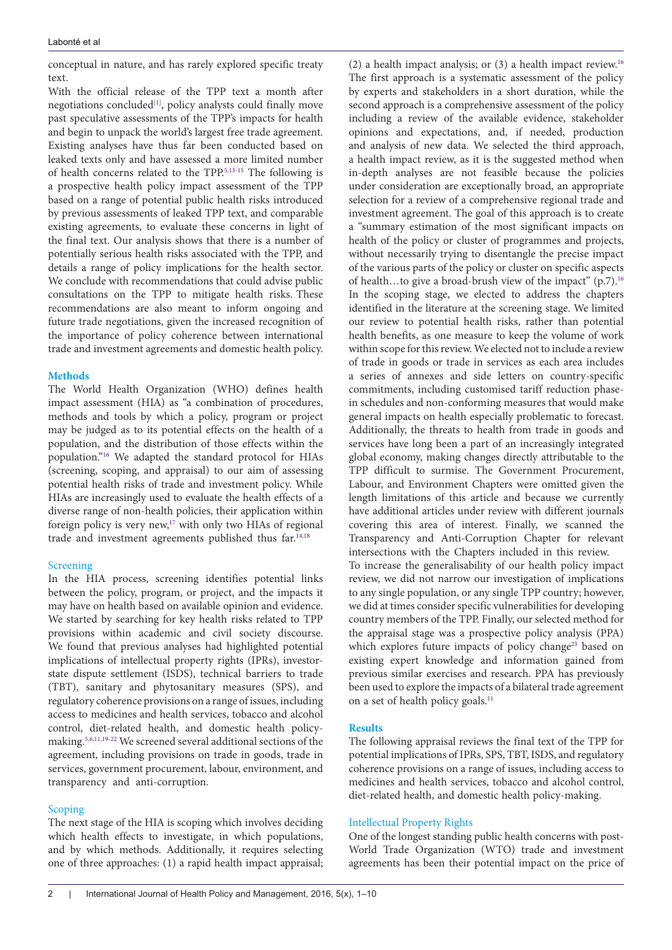conceptual in nature, and has rarely explored specific treaty text.

With the official release of the TPP text a month after negotiations concluded<sup>[1]</sup>, policy analysts could finally move past speculative assessments of the TPP's impacts for health and begin to unpack the world's largest free trade agreement. Existing analyses have thus far been conducted based on leaked texts only and have assessed a more limited number of health concerns related to the TPP.[5](#page-8-2),[13](#page-8-3)[-15](#page-8-4) The following is a prospective health policy impact assessment of the TPP based on a range of potential public health risks introduced by previous assessments of leaked TPP text, and comparable existing agreements, to evaluate these concerns in light of the final text. Our analysis shows that there is a number of potentially serious health risks associated with the TPP, and details a range of policy implications for the health sector. We conclude with recommendations that could advise public consultations on the TPP to mitigate health risks. These recommendations are also meant to inform ongoing and future trade negotiations, given the increased recognition of the importance of policy coherence between international trade and investment agreements and domestic health policy.

## **Methods**

The World Health Organization (WHO) defines health impact assessment (HIA) as "a combination of procedures, methods and tools by which a policy, program or project may be judged as to its potential effects on the health of a population, and the distribution of those effects within the population.["16](#page-8-5) We adapted the standard protocol for HIAs (screening, scoping, and appraisal) to our aim of assessing potential health risks of trade and investment policy. While HIAs are increasingly used to evaluate the health effects of a diverse range of non-health policies, their application within foreign policy is very new,[17](#page-8-6) with only two HIAs of regional trade and investment agreements published thus far[.14,](#page-8-7)[18](#page-8-8)

## Screening

In the HIA process, screening identifies potential links between the policy, program, or project, and the impacts it may have on health based on available opinion and evidence. We started by searching for key health risks related to TPP provisions within academic and civil society discourse. We found that previous analyses had highlighted potential implications of intellectual property rights (IPRs), investorstate dispute settlement (ISDS), technical barriers to trade (TBT), sanitary and phytosanitary measures (SPS), and regulatory coherence provisions on a range of issues, including access to medicines and health services, tobacco and alcohol control, diet-related health, and domestic health policymaking[.5](#page-8-2)[,6](#page-8-9)[,11](#page-8-1)[,19-](#page-8-10)[22](#page-8-11) We screened several additional sections of the agreement, including provisions on trade in goods, trade in services, government procurement, labour, environment, and transparency and anti-corruption.

## Scoping

The next stage of the HIA is scoping which involves deciding which health effects to investigate, in which populations, and by which methods. Additionally, it requires selecting one of three approaches: (1) a rapid health impact appraisal;

(2) a health impact analysis; or  $(3)$  a health impact review.<sup>16</sup> The first approach is a systematic assessment of the policy by experts and stakeholders in a short duration, while the second approach is a comprehensive assessment of the policy including a review of the available evidence, stakeholder opinions and expectations, and, if needed, production and analysis of new data. We selected the third approach, a health impact review, as it is the suggested method when in-depth analyses are not feasible because the policies under consideration are exceptionally broad, an appropriate selection for a review of a comprehensive regional trade and investment agreement. The goal of this approach is to create a "summary estimation of the most significant impacts on health of the policy or cluster of programmes and projects, without necessarily trying to disentangle the precise impact of the various parts of the policy or cluster on specific aspects of health…to give a broad-brush view of the impact" (p.7)[.16](#page-8-5) In the scoping stage, we elected to address the chapters identified in the literature at the screening stage. We limited our review to potential health risks, rather than potential health benefits, as one measure to keep the volume of work within scope for this review. We elected not to include a review of trade in goods or trade in services as each area includes a series of annexes and side letters on country-specific commitments, including customised tariff reduction phasein schedules and non-conforming measures that would make general impacts on health especially problematic to forecast. Additionally, the threats to health from trade in goods and services have long been a part of an increasingly integrated global economy, making changes directly attributable to the TPP difficult to surmise. The Government Procurement, Labour, and Environment Chapters were omitted given the length limitations of this article and because we currently have additional articles under review with different journals covering this area of interest. Finally, we scanned the Transparency and Anti-Corruption Chapter for relevant intersections with the Chapters included in this review. To increase the generalisability of our health policy impact review, we did not narrow our investigation of implications to any single population, or any single TPP country; however, we did at times consider specific vulnerabilities for developing country members of the TPP. Finally, our selected method for the appraisal stage was a prospective policy analysis (PPA) which explores future impacts of policy change<sup>23</sup> based on existing expert knowledge and information gained from previous similar exercises and research. PPA has previously been used to explore the impacts of a bilateral trade agreement on a set of health policy goals.<sup>[11](#page-8-1)</sup>

## **Results**

The following appraisal reviews the final text of the TPP for potential implications of IPRs, SPS, TBT, ISDS, and regulatory coherence provisions on a range of issues, including access to medicines and health services, tobacco and alcohol control, diet-related health, and domestic health policy-making.

## Intellectual Property Rights

One of the longest standing public health concerns with post-World Trade Organization (WTO) trade and investment agreements has been their potential impact on the price of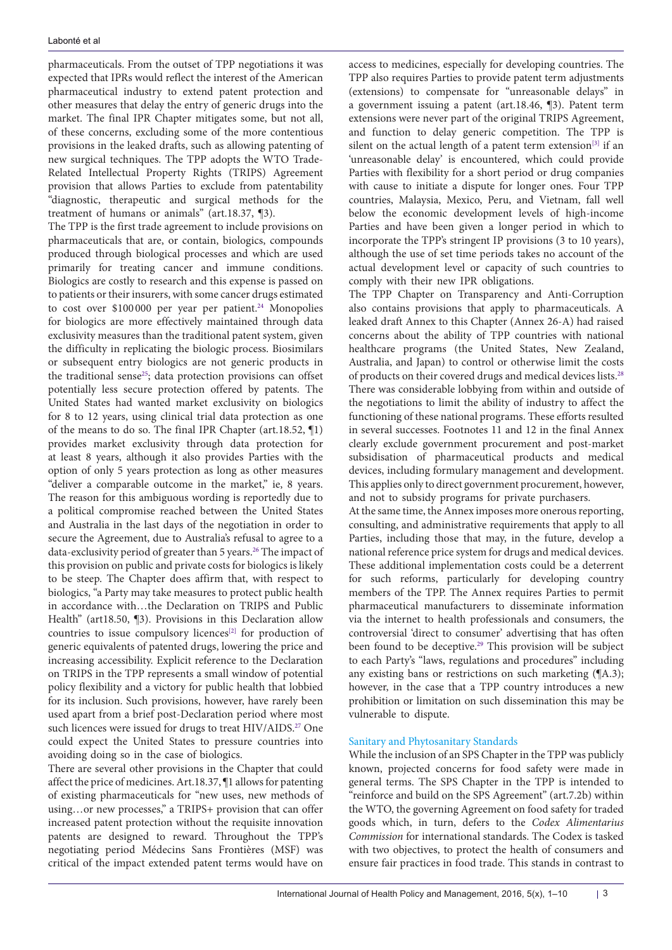pharmaceuticals. From the outset of TPP negotiations it was expected that IPRs would reflect the interest of the American pharmaceutical industry to extend patent protection and other measures that delay the entry of generic drugs into the market. The final IPR Chapter mitigates some, but not all, of these concerns, excluding some of the more contentious provisions in the leaked drafts, such as allowing patenting of new surgical techniques. The TPP adopts the WTO Trade-Related Intellectual Property Rights (TRIPS) Agreement provision that allows Parties to exclude from patentability "diagnostic, therapeutic and surgical methods for the treatment of humans or animals" (art.18.37, ¶3). The TPP is the first trade agreement to include provisions on pharmaceuticals that are, or contain, biologics, compounds produced through biological processes and which are used primarily for treating cancer and immune conditions. Biologics are costly to research and this expense is passed on to patients or their insurers, with some cancer drugs estimated to cost over \$100000 per year per patient.<sup>24</sup> Monopolies for biologics are more effectively maintained through data exclusivity measures than the traditional patent system, given the difficulty in replicating the biologic process. Biosimilars or subsequent entry biologics are not generic products in the traditional sense<sup>[25](#page-8-14)</sup>; data protection provisions can offset potentially less secure protection offered by patents. The United States had wanted market exclusivity on biologics for 8 to 12 years, using clinical trial data protection as one of the means to do so. The final IPR Chapter (art.18.52, ¶1) provides market exclusivity through data protection for at least 8 years, although it also provides Parties with the option of only 5 years protection as long as other measures "deliver a comparable outcome in the market," ie, 8 years. The reason for this ambiguous wording is reportedly due to a political compromise reached between the United States and Australia in the last days of the negotiation in order to secure the Agreement, due to Australia's refusal to agree to a data-exclusivity period of greater than 5 years.<sup>[26](#page-8-15)</sup> The impact of this provision on public and private costs for biologics is likely to be steep. The Chapter does affirm that, with respect to biologics, "a Party may take measures to protect public health in accordance with…the Declaration on TRIPS and Public Health" (art18.50, ¶3). Provisions in this Declaration allow countries to issue compulsory licences<sup>[\[2\]](#page-7-5)</sup> for production of generic equivalents of patented drugs, lowering the price and increasing accessibility. Explicit reference to the Declaration on TRIPS in the TPP represents a small window of potential policy flexibility and a victory for public health that lobbied for its inclusion. Such provisions, however, have rarely been used apart from a brief post-Declaration period where most such licences were issued for drugs to treat HIV/AIDS.<sup>27</sup> One could expect the United States to pressure countries into avoiding doing so in the case of biologics.

There are several other provisions in the Chapter that could affect the price of medicines. Art.18.37, ¶1 allows for patenting of existing pharmaceuticals for "new uses, new methods of using…or new processes," a TRIPS+ provision that can offer increased patent protection without the requisite innovation patents are designed to reward. Throughout the TPP's negotiating period Médecins Sans Frontières (MSF) was critical of the impact extended patent terms would have on

access to medicines, especially for developing countries. The TPP also requires Parties to provide patent term adjustments (extensions) to compensate for "unreasonable delays" in a government issuing a patent (art.18.46, ¶3). Patent term extensions were never part of the original TRIPS Agreement, and function to delay generic competition. The TPP is silent on the actual length of a patent term extension<sup>[\[3\]](#page-7-6)</sup> if an 'unreasonable delay' is encountered, which could provide Parties with flexibility for a short period or drug companies with cause to initiate a dispute for longer ones. Four TPP countries, Malaysia, Mexico, Peru, and Vietnam, fall well below the economic development levels of high-income Parties and have been given a longer period in which to incorporate the TPP's stringent IP provisions (3 to 10 years), although the use of set time periods takes no account of the actual development level or capacity of such countries to comply with their new IPR obligations.

The TPP Chapter on Transparency and Anti-Corruption also contains provisions that apply to pharmaceuticals. A leaked draft Annex to this Chapter (Annex 26-A) had raised concerns about the ability of TPP countries with national healthcare programs (the United States, New Zealand, Australia, and Japan) to control or otherwise limit the costs of products on their covered drugs and medical devices lists.<sup>28</sup> There was considerable lobbying from within and outside of the negotiations to limit the ability of industry to affect the functioning of these national programs. These efforts resulted in several successes. Footnotes 11 and 12 in the final Annex clearly exclude government procurement and post-market subsidisation of pharmaceutical products and medical devices, including formulary management and development. This applies only to direct government procurement, however, and not to subsidy programs for private purchasers.

At the same time, the Annex imposes more onerous reporting, consulting, and administrative requirements that apply to all Parties, including those that may, in the future, develop a national reference price system for drugs and medical devices. These additional implementation costs could be a deterrent for such reforms, particularly for developing country members of the TPP. The Annex requires Parties to permit pharmaceutical manufacturers to disseminate information via the internet to health professionals and consumers, the controversial 'direct to consumer' advertising that has often been found to be deceptive.[29](#page-8-18) This provision will be subject to each Party's "laws, regulations and procedures" including any existing bans or restrictions on such marketing (¶A.3); however, in the case that a TPP country introduces a new prohibition or limitation on such dissemination this may be vulnerable to dispute.

# Sanitary and Phytosanitary Standards

While the inclusion of an SPS Chapter in the TPP was publicly known, projected concerns for food safety were made in general terms. The SPS Chapter in the TPP is intended to "reinforce and build on the SPS Agreement" (art.7.2b) within the WTO, the governing Agreement on food safety for traded goods which, in turn, defers to the *Codex Alimentarius Commission* for international standards. The Codex is tasked with two objectives, to protect the health of consumers and ensure fair practices in food trade. This stands in contrast to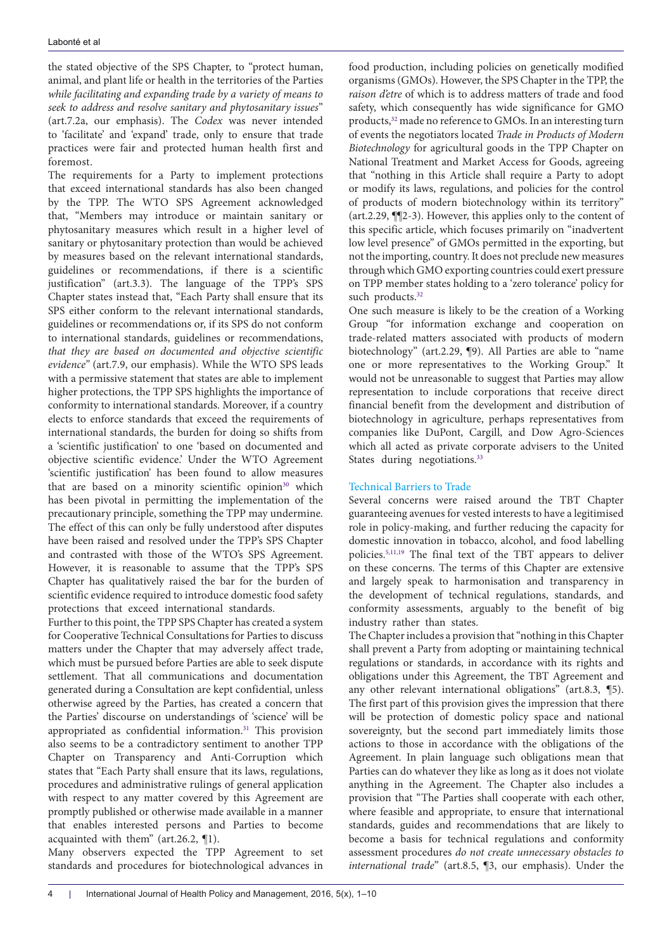the stated objective of the SPS Chapter, to "protect human, animal, and plant life or health in the territories of the Parties *while facilitating and expanding trade by a variety of means to seek to address and resolve sanitary and phytosanitary issues*" (art.7.2a, our emphasis). The *Codex* was never intended to 'facilitate' and 'expand' trade, only to ensure that trade practices were fair and protected human health first and foremost.

The requirements for a Party to implement protections that exceed international standards has also been changed by the TPP. The WTO SPS Agreement acknowledged that, "Members may introduce or maintain sanitary or phytosanitary measures which result in a higher level of sanitary or phytosanitary protection than would be achieved by measures based on the relevant international standards, guidelines or recommendations, if there is a scientific justification" (art.3.3). The language of the TPP's SPS Chapter states instead that, "Each Party shall ensure that its SPS either conform to the relevant international standards, guidelines or recommendations or, if its SPS do not conform to international standards, guidelines or recommendations, *that they are based on documented and objective scientific evidence"* (art.7.9, our emphasis). While the WTO SPS leads with a permissive statement that states are able to implement higher protections, the TPP SPS highlights the importance of conformity to international standards. Moreover, if a country elects to enforce standards that exceed the requirements of international standards, the burden for doing so shifts from a 'scientific justification' to one 'based on documented and objective scientific evidence.' Under the WTO Agreement 'scientific justification' has been found to allow measures that are based on a minority scientific opinion<sup>[30](#page-8-19)</sup> which has been pivotal in permitting the implementation of the precautionary principle, something the TPP may undermine. The effect of this can only be fully understood after disputes have been raised and resolved under the TPP's SPS Chapter and contrasted with those of the WTO's SPS Agreement. However, it is reasonable to assume that the TPP's SPS Chapter has qualitatively raised the bar for the burden of scientific evidence required to introduce domestic food safety protections that exceed international standards.

Further to this point, the TPP SPS Chapter has created a system for Cooperative Technical Consultations for Parties to discuss matters under the Chapter that may adversely affect trade, which must be pursued before Parties are able to seek dispute settlement. That all communications and documentation generated during a Consultation are kept confidential, unless otherwise agreed by the Parties, has created a concern that the Parties' discourse on understandings of 'science' will be appropriated as confidential information.<sup>31</sup> This provision also seems to be a contradictory sentiment to another TPP Chapter on Transparency and Anti-Corruption which states that "Each Party shall ensure that its laws, regulations, procedures and administrative rulings of general application with respect to any matter covered by this Agreement are promptly published or otherwise made available in a manner that enables interested persons and Parties to become acquainted with them" (art.26.2, ¶1).

Many observers expected the TPP Agreement to set standards and procedures for biotechnological advances in

food production, including policies on genetically modified organisms (GMOs). However, the SPS Chapter in the TPP, the *raison d'etre* of which is to address matters of trade and food safety, which consequently has wide significance for GMO products,<sup>[32](#page-8-21)</sup> made no reference to GMOs. In an interesting turn of events the negotiators located *Trade in Products of Modern Biotechnology* for agricultural goods in the TPP Chapter on National Treatment and Market Access for Goods, agreeing that "nothing in this Article shall require a Party to adopt or modify its laws, regulations, and policies for the control of products of modern biotechnology within its territory" (art.2.29, ¶¶2-3). However, this applies only to the content of this specific article, which focuses primarily on "inadvertent low level presence" of GMOs permitted in the exporting, but not the importing, country. It does not preclude new measures through which GMO exporting countries could exert pressure on TPP member states holding to a 'zero tolerance' policy for such products.<sup>32</sup>

One such measure is likely to be the creation of a Working Group "for information exchange and cooperation on trade-related matters associated with products of modern biotechnology" (art.2.29, ¶9). All Parties are able to "name one or more representatives to the Working Group." It would not be unreasonable to suggest that Parties may allow representation to include corporations that receive direct financial benefit from the development and distribution of biotechnology in agriculture, perhaps representatives from companies like DuPont, Cargill, and Dow Agro-Sciences which all acted as private corporate advisers to the United States during negotiations.<sup>33</sup>

# Technical Barriers to Trade

Several concerns were raised around the TBT Chapter guaranteeing avenues for vested interests to have a legitimised role in policy-making, and further reducing the capacity for domestic innovation in tobacco, alcohol, and food labelling policies.[5](#page-8-2),[11](#page-8-1),[19](#page-8-10) The final text of the TBT appears to deliver on these concerns. The terms of this Chapter are extensive and largely speak to harmonisation and transparency in the development of technical regulations, standards, and conformity assessments, arguably to the benefit of big industry rather than states.

The Chapter includes a provision that "nothing in this Chapter shall prevent a Party from adopting or maintaining technical regulations or standards, in accordance with its rights and obligations under this Agreement, the TBT Agreement and any other relevant international obligations" (art.8.3, ¶5). The first part of this provision gives the impression that there will be protection of domestic policy space and national sovereignty, but the second part immediately limits those actions to those in accordance with the obligations of the Agreement. In plain language such obligations mean that Parties can do whatever they like as long as it does not violate anything in the Agreement. The Chapter also includes a provision that "The Parties shall cooperate with each other, where feasible and appropriate, to ensure that international standards, guides and recommendations that are likely to become a basis for technical regulations and conformity assessment procedures *do not create unnecessary obstacles to international trade*" (art.8.5, ¶3, our emphasis). Under the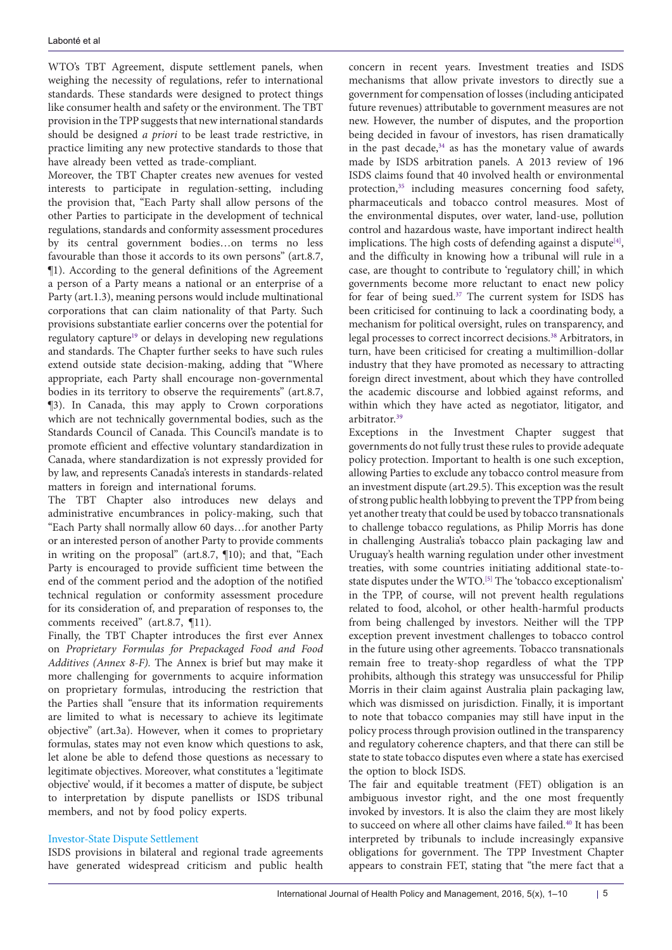WTO's TBT Agreement, dispute settlement panels, when weighing the necessity of regulations, refer to international standards. These standards were designed to protect things like consumer health and safety or the environment. The TBT provision in the TPP suggests that new international standards should be designed *a priori* to be least trade restrictive, in practice limiting any new protective standards to those that have already been vetted as trade-compliant.

Moreover, the TBT Chapter creates new avenues for vested interests to participate in regulation-setting, including the provision that, "Each Party shall allow persons of the other Parties to participate in the development of technical regulations, standards and conformity assessment procedures by its central government bodies…on terms no less favourable than those it accords to its own persons" (art.8.7, ¶1). According to the general definitions of the Agreement a person of a Party means a national or an enterprise of a Party (art.1.3), meaning persons would include multinational corporations that can claim nationality of that Party. Such provisions substantiate earlier concerns over the potential for regulatory capture<sup>19</sup> or delays in developing new regulations and standards. The Chapter further seeks to have such rules extend outside state decision-making, adding that "Where appropriate, each Party shall encourage non-governmental bodies in its territory to observe the requirements" (art.8.7, ¶3). In Canada, this may apply to Crown corporations which are not technically governmental bodies, such as the Standards Council of Canada. This Council's mandate is to promote efficient and effective voluntary standardization in Canada, where standardization is not expressly provided for by law, and represents Canada's interests in standards-related matters in foreign and international forums.

The TBT Chapter also introduces new delays and administrative encumbrances in policy-making, such that "Each Party shall normally allow 60 days…for another Party or an interested person of another Party to provide comments in writing on the proposal" (art.8.7, ¶10); and that, "Each Party is encouraged to provide sufficient time between the end of the comment period and the adoption of the notified technical regulation or conformity assessment procedure for its consideration of, and preparation of responses to, the comments received" (art.8.7, ¶11).

Finally, the TBT Chapter introduces the first ever Annex on *Proprietary Formulas for Prepackaged Food and Food Additives (Annex 8-F).* The Annex is brief but may make it more challenging for governments to acquire information on proprietary formulas, introducing the restriction that the Parties shall "ensure that its information requirements are limited to what is necessary to achieve its legitimate objective" (art.3a). However, when it comes to proprietary formulas, states may not even know which questions to ask, let alone be able to defend those questions as necessary to legitimate objectives. Moreover, what constitutes a 'legitimate objective' would, if it becomes a matter of dispute, be subject to interpretation by dispute panellists or ISDS tribunal members, and not by food policy experts.

## Investor-State Dispute Settlement

ISDS provisions in bilateral and regional trade agreements have generated widespread criticism and public health

concern in recent years. Investment treaties and ISDS mechanisms that allow private investors to directly sue a government for compensation of losses (including anticipated future revenues) attributable to government measures are not new. However, the number of disputes, and the proportion being decided in favour of investors, has risen dramatically in the past decade, $34$  as has the monetary value of awards made by ISDS arbitration panels. A 2013 review of 196 ISDS claims found that 40 involved health or environmental protection,<sup>[35](#page-8-24)</sup> including measures concerning food safety, pharmaceuticals and tobacco control measures. Most of the environmental disputes, over water, land-use, pollution control and hazardous waste, have important indirect health implications. The high costs of defending against a dispute $[4]$ , and the difficulty in knowing how a tribunal will rule in a case, are thought to contribute to 'regulatory chill,' in which governments become more reluctant to enact new policy for fear of being sued.<sup>[37](#page-8-25)</sup> The current system for ISDS has been criticised for continuing to lack a coordinating body, a mechanism for political oversight, rules on transparency, and legal processes to correct incorrect decisions.[38](#page-9-0) Arbitrators, in turn, have been criticised for creating a multimillion-dollar industry that they have promoted as necessary to attracting foreign direct investment, about which they have controlled the academic discourse and lobbied against reforms, and within which they have acted as negotiator, litigator, and arbitrator.[39](#page-9-1)

Exceptions in the Investment Chapter suggest that governments do not fully trust these rules to provide adequate policy protection. Important to health is one such exception, allowing Parties to exclude any tobacco control measure from an investment dispute (art.29.5). This exception was the result of strong public health lobbying to prevent the TPP from being yet another treaty that could be used by tobacco transnationals to challenge tobacco regulations, as Philip Morris has done in challenging Australia's tobacco plain packaging law and Uruguay's health warning regulation under other investment treaties, with some countries initiating additional state-to-state disputes under the WTO.<sup>[\[5\]](#page-7-8)</sup> The 'tobacco exceptionalism' in the TPP, of course, will not prevent health regulations related to food, alcohol, or other health-harmful products from being challenged by investors. Neither will the TPP exception prevent investment challenges to tobacco control in the future using other agreements. Tobacco transnationals remain free to treaty-shop regardless of what the TPP prohibits, although this strategy was unsuccessful for Philip Morris in their claim against Australia plain packaging law, which was dismissed on jurisdiction. Finally, it is important to note that tobacco companies may still have input in the policy process through provision outlined in the transparency and regulatory coherence chapters, and that there can still be state to state tobacco disputes even where a state has exercised the option to block ISDS.

The fair and equitable treatment (FET) obligation is an ambiguous investor right, and the one most frequently invoked by investors. It is also the claim they are most likely to succeed on where all other claims have failed.<sup>40</sup> It has been interpreted by tribunals to include increasingly expansive obligations for government. The TPP Investment Chapter appears to constrain FET, stating that "the mere fact that a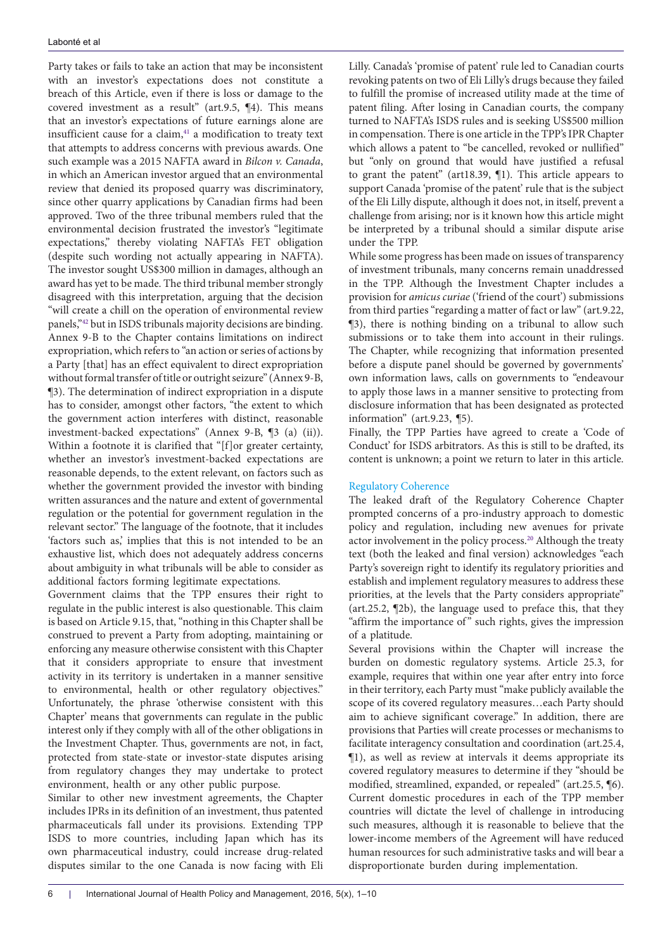Party takes or fails to take an action that may be inconsistent with an investor's expectations does not constitute a breach of this Article, even if there is loss or damage to the covered investment as a result" (art.9.5, ¶4). This means that an investor's expectations of future earnings alone are insufficient cause for a claim, $41$  a modification to treaty text that attempts to address concerns with previous awards. One such example was a 2015 NAFTA award in *Bilcon v. Canada*, in which an American investor argued that an environmental review that denied its proposed quarry was discriminatory, since other quarry applications by Canadian firms had been approved. Two of the three tribunal members ruled that the environmental decision frustrated the investor's "legitimate expectations," thereby violating NAFTA's FET obligation (despite such wording not actually appearing in NAFTA). The investor sought US\$300 million in damages, although an award has yet to be made. The third tribunal member strongly disagreed with this interpretation, arguing that the decision "will create a chill on the operation of environmental review panels,"[42](#page-9-4) but in ISDS tribunals majority decisions are binding. Annex 9-B to the Chapter contains limitations on indirect expropriation, which refers to "an action or series of actions by a Party [that] has an effect equivalent to direct expropriation without formal transfer of title or outright seizure" (Annex 9-B, ¶3). The determination of indirect expropriation in a dispute has to consider, amongst other factors, "the extent to which the government action interferes with distinct, reasonable investment-backed expectations" (Annex 9-B, ¶3 (a) (ii)). Within a footnote it is clarified that "[f]or greater certainty, whether an investor's investment-backed expectations are reasonable depends, to the extent relevant, on factors such as whether the government provided the investor with binding written assurances and the nature and extent of governmental regulation or the potential for government regulation in the relevant sector." The language of the footnote, that it includes 'factors such as,' implies that this is not intended to be an exhaustive list, which does not adequately address concerns about ambiguity in what tribunals will be able to consider as additional factors forming legitimate expectations.

Government claims that the TPP ensures their right to regulate in the public interest is also questionable. This claim is based on Article 9.15, that, "nothing in this Chapter shall be construed to prevent a Party from adopting, maintaining or enforcing any measure otherwise consistent with this Chapter that it considers appropriate to ensure that investment activity in its territory is undertaken in a manner sensitive to environmental, health or other regulatory objectives." Unfortunately, the phrase 'otherwise consistent with this Chapter' means that governments can regulate in the public interest only if they comply with all of the other obligations in the Investment Chapter. Thus, governments are not, in fact, protected from state-state or investor-state disputes arising from regulatory changes they may undertake to protect environment, health or any other public purpose.

Similar to other new investment agreements, the Chapter includes IPRs in its definition of an investment, thus patented pharmaceuticals fall under its provisions. Extending TPP ISDS to more countries, including Japan which has its own pharmaceutical industry, could increase drug-related disputes similar to the one Canada is now facing with Eli

Lilly. Canada's 'promise of patent' rule led to Canadian courts revoking patents on two of Eli Lilly's drugs because they failed to fulfill the promise of increased utility made at the time of patent filing. After losing in Canadian courts, the company turned to NAFTA's ISDS rules and is seeking US\$500 million in compensation. There is one article in the TPP's IPR Chapter which allows a patent to "be cancelled, revoked or nullified" but "only on ground that would have justified a refusal to grant the patent" (art18.39, ¶1). This article appears to support Canada 'promise of the patent' rule that is the subject of the Eli Lilly dispute, although it does not, in itself, prevent a challenge from arising; nor is it known how this article might be interpreted by a tribunal should a similar dispute arise under the TPP.

While some progress has been made on issues of transparency of investment tribunals, many concerns remain unaddressed in the TPP. Although the Investment Chapter includes a provision for *amicus curiae* ('friend of the court') submissions from third parties "regarding a matter of fact or law" (art.9.22, ¶3), there is nothing binding on a tribunal to allow such submissions or to take them into account in their rulings. The Chapter, while recognizing that information presented before a dispute panel should be governed by governments' own information laws, calls on governments to "endeavour to apply those laws in a manner sensitive to protecting from disclosure information that has been designated as protected information" (art.9.23, ¶5).

Finally, the TPP Parties have agreed to create a 'Code of Conduct' for ISDS arbitrators. As this is still to be drafted, its content is unknown; a point we return to later in this article.

## Regulatory Coherence

The leaked draft of the Regulatory Coherence Chapter prompted concerns of a pro-industry approach to domestic policy and regulation, including new avenues for private actor involvement in the policy process.[20](#page-8-26) Although the treaty text (both the leaked and final version) acknowledges "each Party's sovereign right to identify its regulatory priorities and establish and implement regulatory measures to address these priorities, at the levels that the Party considers appropriate" (art.25.2, ¶2b), the language used to preface this, that they "affirm the importance of" such rights, gives the impression of a platitude.

Several provisions within the Chapter will increase the burden on domestic regulatory systems. Article 25.3, for example, requires that within one year after entry into force in their territory, each Party must "make publicly available the scope of its covered regulatory measures…each Party should aim to achieve significant coverage." In addition, there are provisions that Parties will create processes or mechanisms to facilitate interagency consultation and coordination (art.25.4, ¶1), as well as review at intervals it deems appropriate its covered regulatory measures to determine if they "should be modified, streamlined, expanded, or repealed" (art.25.5, ¶6). Current domestic procedures in each of the TPP member countries will dictate the level of challenge in introducing such measures, although it is reasonable to believe that the lower-income members of the Agreement will have reduced human resources for such administrative tasks and will bear a disproportionate burden during implementation.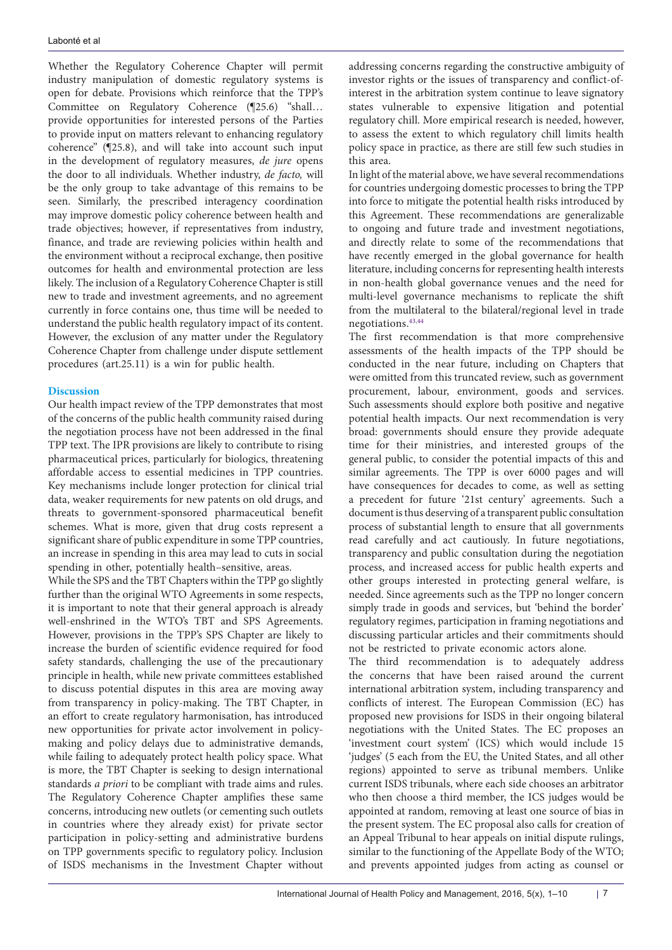Whether the Regulatory Coherence Chapter will permit industry manipulation of domestic regulatory systems is open for debate. Provisions which reinforce that the TPP's Committee on Regulatory Coherence (¶25.6) "shall… provide opportunities for interested persons of the Parties to provide input on matters relevant to enhancing regulatory coherence" (¶25.8), and will take into account such input in the development of regulatory measures, *de jure* opens the door to all individuals. Whether industry, *de facto,* will be the only group to take advantage of this remains to be seen. Similarly, the prescribed interagency coordination may improve domestic policy coherence between health and trade objectives; however, if representatives from industry, finance, and trade are reviewing policies within health and the environment without a reciprocal exchange, then positive outcomes for health and environmental protection are less likely. The inclusion of a Regulatory Coherence Chapter is still new to trade and investment agreements, and no agreement currently in force contains one, thus time will be needed to understand the public health regulatory impact of its content. However, the exclusion of any matter under the Regulatory Coherence Chapter from challenge under dispute settlement procedures (art.25.11) is a win for public health.

# **Discussion**

Our health impact review of the TPP demonstrates that most of the concerns of the public health community raised during the negotiation process have not been addressed in the final TPP text. The IPR provisions are likely to contribute to rising pharmaceutical prices, particularly for biologics, threatening affordable access to essential medicines in TPP countries. Key mechanisms include longer protection for clinical trial data, weaker requirements for new patents on old drugs, and threats to government-sponsored pharmaceutical benefit schemes. What is more, given that drug costs represent a significant share of public expenditure in some TPP countries, an increase in spending in this area may lead to cuts in social spending in other, potentially health–sensitive, areas.

While the SPS and the TBT Chapters within the TPP go slightly further than the original WTO Agreements in some respects, it is important to note that their general approach is already well-enshrined in the WTO's TBT and SPS Agreements. However, provisions in the TPP's SPS Chapter are likely to increase the burden of scientific evidence required for food safety standards, challenging the use of the precautionary principle in health, while new private committees established to discuss potential disputes in this area are moving away from transparency in policy-making. The TBT Chapter, in an effort to create regulatory harmonisation, has introduced new opportunities for private actor involvement in policymaking and policy delays due to administrative demands, while failing to adequately protect health policy space. What is more, the TBT Chapter is seeking to design international standards *a priori* to be compliant with trade aims and rules. The Regulatory Coherence Chapter amplifies these same concerns, introducing new outlets (or cementing such outlets in countries where they already exist) for private sector participation in policy-setting and administrative burdens on TPP governments specific to regulatory policy. Inclusion of ISDS mechanisms in the Investment Chapter without addressing concerns regarding the constructive ambiguity of investor rights or the issues of transparency and conflict-ofinterest in the arbitration system continue to leave signatory states vulnerable to expensive litigation and potential regulatory chill. More empirical research is needed, however, to assess the extent to which regulatory chill limits health policy space in practice, as there are still few such studies in this area.

In light of the material above, we have several recommendations for countries undergoing domestic processes to bring the TPP into force to mitigate the potential health risks introduced by this Agreement. These recommendations are generalizable to ongoing and future trade and investment negotiations, and directly relate to some of the recommendations that have recently emerged in the global governance for health literature, including concerns for representing health interests in non-health global governance venues and the need for multi-level governance mechanisms to replicate the shift from the multilateral to the bilateral/regional level in trade negotiations.[43](#page-9-5),[44](#page-9-6)

The first recommendation is that more comprehensive assessments of the health impacts of the TPP should be conducted in the near future, including on Chapters that were omitted from this truncated review, such as government procurement, labour, environment, goods and services. Such assessments should explore both positive and negative potential health impacts. Our next recommendation is very broad: governments should ensure they provide adequate time for their ministries, and interested groups of the general public, to consider the potential impacts of this and similar agreements. The TPP is over 6000 pages and will have consequences for decades to come, as well as setting a precedent for future '21st century' agreements. Such a document is thus deserving of a transparent public consultation process of substantial length to ensure that all governments read carefully and act cautiously. In future negotiations, transparency and public consultation during the negotiation process, and increased access for public health experts and other groups interested in protecting general welfare, is needed. Since agreements such as the TPP no longer concern simply trade in goods and services, but 'behind the border' regulatory regimes, participation in framing negotiations and discussing particular articles and their commitments should not be restricted to private economic actors alone.

The third recommendation is to adequately address the concerns that have been raised around the current international arbitration system, including transparency and conflicts of interest. The European Commission (EC) has proposed new provisions for ISDS in their ongoing bilateral negotiations with the United States. The EC proposes an 'investment court system' (ICS) which would include 15 'judges' (5 each from the EU, the United States, and all other regions) appointed to serve as tribunal members. Unlike current ISDS tribunals, where each side chooses an arbitrator who then choose a third member, the ICS judges would be appointed at random, removing at least one source of bias in the present system. The EC proposal also calls for creation of an Appeal Tribunal to hear appeals on initial dispute rulings, similar to the functioning of the Appellate Body of the WTO; and prevents appointed judges from acting as counsel or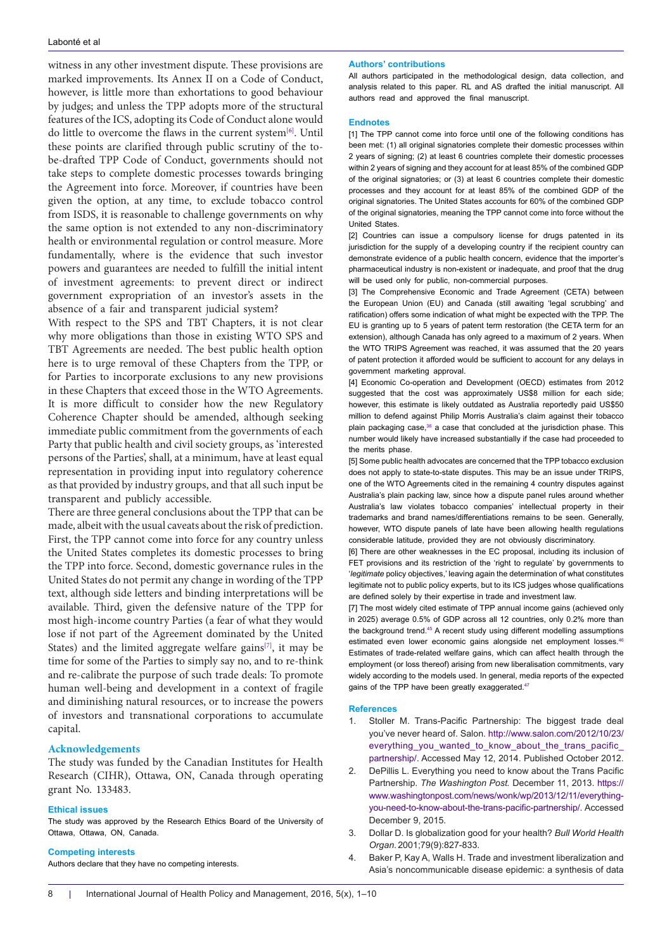witness in any other investment dispute. These provisions are marked improvements. Its Annex II on a Code of Conduct, however, is little more than exhortations to good behaviour by judges; and unless the TPP adopts more of the structural features of the ICS, adopting its Code of Conduct alone would do little to overcome the flaws in the current system[\[6\].](#page-7-9) Until these points are clarified through public scrutiny of the tobe-drafted TPP Code of Conduct, governments should not take steps to complete domestic processes towards bringing the Agreement into force. Moreover, if countries have been given the option, at any time, to exclude tobacco control from ISDS, it is reasonable to challenge governments on why the same option is not extended to any non-discriminatory health or environmental regulation or control measure. More fundamentally, where is the evidence that such investor powers and guarantees are needed to fulfill the initial intent of investment agreements: to prevent direct or indirect government expropriation of an investor's assets in the absence of a fair and transparent judicial system?

With respect to the SPS and TBT Chapters, it is not clear why more obligations than those in existing WTO SPS and TBT Agreements are needed. The best public health option here is to urge removal of these Chapters from the TPP, or for Parties to incorporate exclusions to any new provisions in these Chapters that exceed those in the WTO Agreements. It is more difficult to consider how the new Regulatory Coherence Chapter should be amended, although seeking immediate public commitment from the governments of each Party that public health and civil society groups, as 'interested persons of the Parties', shall, at a minimum, have at least equal representation in providing input into regulatory coherence as that provided by industry groups, and that all such input be transparent and publicly accessible.

There are three general conclusions about the TPP that can be made, albeit with the usual caveats about the risk of prediction. First, the TPP cannot come into force for any country unless the United States completes its domestic processes to bring the TPP into force. Second, domestic governance rules in the United States do not permit any change in wording of the TPP text, although side letters and binding interpretations will be available. Third, given the defensive nature of the TPP for most high-income country Parties (a fear of what they would lose if not part of the Agreement dominated by the United States) and the limited aggregate welfare gains<sup>[7]</sup>, it may be time for some of the Parties to simply say no, and to re-think and re-calibrate the purpose of such trade deals: To promote human well-being and development in a context of fragile and diminishing natural resources, or to increase the powers of investors and transnational corporations to accumulate capital.

## **Acknowledgements**

The study was funded by the Canadian Institutes for Health Research (CIHR), Ottawa, ON, Canada through operating grant No. 133483.

#### **Ethical issues**

The study was approved by the Research Ethics Board of the University of Ottawa, Ottawa, ON, Canada.

#### **Competing interests**

Authors declare that they have no competing interests.

#### **Authors' contributions**

All authors participated in the methodological design, data collection, and analysis related to this paper. RL and AS drafted the initial manuscript. All authors read and approved the final manuscript.

#### **Endnotes**

<span id="page-7-4"></span>[1] The TPP cannot come into force until one of the following conditions has been met: (1) all original signatories complete their domestic processes within 2 years of signing; (2) at least 6 countries complete their domestic processes within 2 years of signing and they account for at least 85% of the combined GDP of the original signatories; or (3) at least 6 countries complete their domestic processes and they account for at least 85% of the combined GDP of the original signatories. The United States accounts for 60% of the combined GDP of the original signatories, meaning the TPP cannot come into force without the United States.

<span id="page-7-5"></span>[2] Countries can issue a compulsory license for drugs patented in its jurisdiction for the supply of a developing country if the recipient country can demonstrate evidence of a public health concern, evidence that the importer's pharmaceutical industry is non-existent or inadequate, and proof that the drug will be used only for public, non-commercial purposes.

<span id="page-7-6"></span>[3] The Comprehensive Economic and Trade Agreement (CETA) between the European Union (EU) and Canada (still awaiting 'legal scrubbing' and ratification) offers some indication of what might be expected with the TPP. The EU is granting up to 5 years of patent term restoration (the CETA term for an extension), although Canada has only agreed to a maximum of 2 years. When the WTO TRIPS Agreement was reached, it was assumed that the 20 years of patent protection it afforded would be sufficient to account for any delays in government marketing approval.

<span id="page-7-7"></span>[4] Economic Co-operation and Development (OECD) estimates from 2012 suggested that the cost was approximately US\$8 million for each side; however, this estimate is likely outdated as Australia reportedly paid US\$50 million to defend against Philip Morris Australia's claim against their tobacco plain packaging case, $36$  a case that concluded at the jurisdiction phase. This number would likely have increased substantially if the case had proceeded to the merits phase.

<span id="page-7-8"></span>[5] Some public health advocates are concerned that the TPP tobacco exclusion does not apply to state-to-state disputes. This may be an issue under TRIPS, one of the WTO Agreements cited in the remaining 4 country disputes against Australia's plain packing law, since how a dispute panel rules around whether Australia's law violates tobacco companies' intellectual property in their trademarks and brand names/differentiations remains to be seen. Generally, however, WTO dispute panels of late have been allowing health regulations considerable latitude, provided they are not obviously discriminatory.

<span id="page-7-9"></span>[6] There are other weaknesses in the EC proposal, including its inclusion of FET provisions and its restriction of the 'right to regulate' by governments to '*legitimate* policy objectives,' leaving again the determination of what constitutes legitimate not to public policy experts, but to its ICS judges whose qualifications are defined solely by their expertise in trade and investment law.

<span id="page-7-10"></span>[7] The most widely cited estimate of TPP annual income gains (achieved only in 2025) average 0.5% of GDP across all 12 countries, only 0.2% more than the background trend[.45](#page-9-7) A recent study using different modelling assumptions estimated even lower economic gains alongside net employment losses.<sup>46</sup> Estimates of trade-related welfare gains, which can affect health through the employment (or loss thereof) arising from new liberalisation commitments, vary widely according to the models used. In general, media reports of the expected gains of the TPP have been greatly exaggerated.<sup>[47](#page-9-9)</sup>

#### **References**

- <span id="page-7-0"></span>1. Stoller M. Trans-Pacific Partnership: The biggest trade deal you've never heard of. Salon. [http://www.salon.com/2012/10/23/](http://www.salon.com/2012/10/23/everything_you_wanted_to_know_about_the_trans_pacific_partnership/) [everything\\_you\\_wanted\\_to\\_know\\_about\\_the\\_trans\\_pacific\\_](http://www.salon.com/2012/10/23/everything_you_wanted_to_know_about_the_trans_pacific_partnership/) [partnership/](http://www.salon.com/2012/10/23/everything_you_wanted_to_know_about_the_trans_pacific_partnership/). Accessed May 12, 2014. Published October 2012.
- <span id="page-7-1"></span>2. DePillis L. Everything you need to know about the Trans Pacific Partnership. *The Washington Post.* December 11, 2013. [https://](https://www.washingtonpost.com/news/wonk/wp/2013/12/11/everything-you-need-to-know-about-the-trans-pacific-partnership/) [www.washingtonpost.com/news/wonk/wp/2013/12/11/everything](https://www.washingtonpost.com/news/wonk/wp/2013/12/11/everything-you-need-to-know-about-the-trans-pacific-partnership/)[you-need-to-know-about-the-trans-pacific-partnership/.](https://www.washingtonpost.com/news/wonk/wp/2013/12/11/everything-you-need-to-know-about-the-trans-pacific-partnership/) Accessed December 9, 2015.
- <span id="page-7-2"></span>3. Dollar D. Is globalization good for your health? *Bull World Health Organ*. 2001;79(9):827-833.
- <span id="page-7-3"></span>Baker P, Kay A, Walls H. Trade and investment liberalization and Asia's noncommunicable disease epidemic: a synthesis of data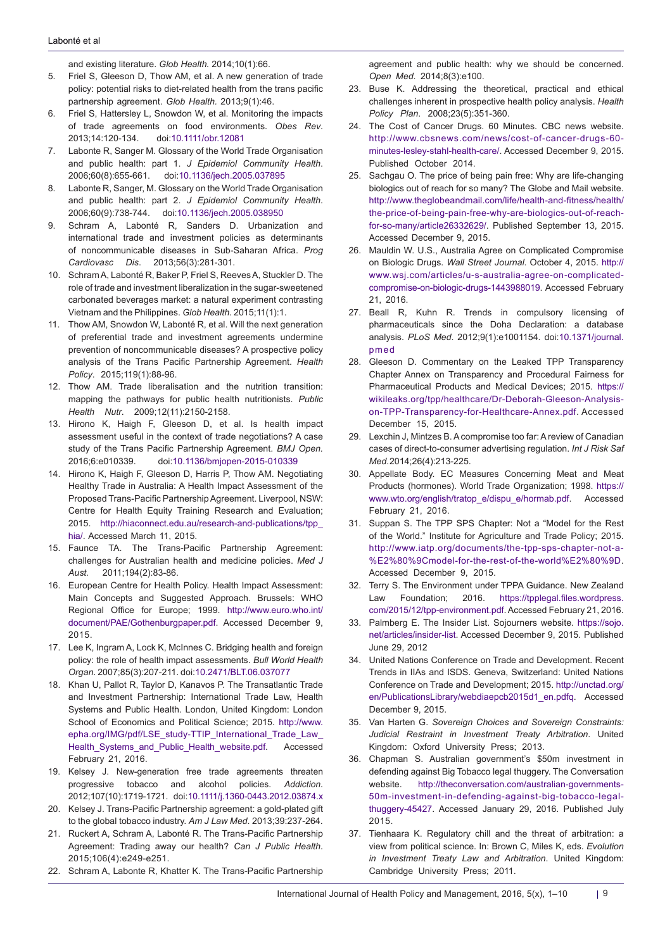<span id="page-8-2"></span>and existing literature. *Glob Health.* 2014;10(1):66.

- 5. Friel S, Gleeson D, Thow AM, et al. A new generation of trade policy: potential risks to diet-related health from the trans pacific partnership agreement. *Glob Health.* 2013;9(1):46.
- <span id="page-8-9"></span>6. Friel S, Hattersley L, Snowdon W, et al. Monitoring the impacts of trade agreements on food environments. *Obes Rev*. 2013;14:120-134. doi:[10.1111/obr.12081](http://dx.doi.org/10.1111/obr.12081)
- 7. Labonte R, Sanger M. Glossary of the World Trade Organisation and public health: part 1. *J Epidemiol Community Health*. 2006;60(8):655-661. doi[:10.1136/jech.2005.037895](http://dx.doi.org/10.1136/jech.2005.037895)
- 8. Labonte R, Sanger, M. Glossary on the World Trade Organisation and public health: part 2. *J Epidemiol Community Health*. 2006;60(9):738-744. doi:[10.1136/jech.2005.038950](http://dx.doi.org/10.1136/jech.2005.038950)
- 9. Schram A, Labonté R, Sanders D. Urbanization and international trade and investment policies as determinants of noncommunicable diseases in Sub-Saharan Africa. *Prog Cardiovasc Dis*. 2013;56(3):281-301.
- 10. Schram A, Labonté R, Baker P, Friel S, Reeves A, Stuckler D. The role of trade and investment liberalization in the sugar-sweetened carbonated beverages market: a natural experiment contrasting Vietnam and the Philippines. *Glob Health.* 2015;11(1):1.
- <span id="page-8-1"></span>11. Thow AM, Snowdon W, Labonté R, et al. Will the next generation of preferential trade and investment agreements undermine prevention of noncommunicable diseases? A prospective policy analysis of the Trans Pacific Partnership Agreement. *Health Policy*. 2015;119(1):88-96.
- <span id="page-8-0"></span>12. Thow AM. Trade liberalisation and the nutrition transition: mapping the pathways for public health nutritionists. *Public Health Nutr*. 2009;12(11):2150-2158.
- <span id="page-8-3"></span>13. Hirono K, Haigh F, Gleeson D, et al. Is health impact assessment useful in the context of trade negotiations? A case study of the Trans Pacific Partnership Agreement. *BMJ Open.*  2016;6:e010339. doi:[10.1136/bmjopen-2015-010339](http://dx.doi.org/10.1136/bmjopen-2015-010339 )
- <span id="page-8-7"></span>14. Hirono K, Haigh F, Gleeson D, Harris P, Thow AM. Negotiating Healthy Trade in Australia: A Health Impact Assessment of the Proposed Trans-Pacific Partnership Agreement. Liverpool, NSW: Centre for Health Equity Training Research and Evaluation; 2015. [http://hiaconnect.edu.au/research-and-publications/tpp\\_](http://hiaconnect.edu.au/research-and-publications/tpp_hia/) [hia/](http://hiaconnect.edu.au/research-and-publications/tpp_hia/). Accessed March 11, 2015.
- <span id="page-8-4"></span>15. Faunce TA. The Trans-Pacific Partnership Agreement: challenges for Australian health and medicine policies. *Med J Aust.* 2011;194(2):83-86.
- <span id="page-8-5"></span>16. European Centre for Health Policy. Health Impact Assessment: Main Concepts and Suggested Approach. Brussels: WHO Regional Office for Europe; 1999. [http://www.euro.who.int/](http://www.euro.who.int/document/PAE/Gothenburgpaper.pdf) [document/PAE/Gothenburgpaper.pdf](http://www.euro.who.int/document/PAE/Gothenburgpaper.pdf). Accessed December 9, 2015.
- <span id="page-8-6"></span>17. Lee K, Ingram A, Lock K, McInnes C. Bridging health and foreign policy: the role of health impact assessments. *Bull World Health Organ*. 2007;85(3):207-211. doi:[10.2471/BLT.06.037077](http://dx.doi.org/10.2471/BLT.06.037077)
- <span id="page-8-8"></span>18. Khan U, Pallot R, Taylor D, Kanavos P. The Transatlantic Trade and Investment Partnership: International Trade Law, Health Systems and Public Health. London, United Kingdom: London School of Economics and Political Science; 2015. [http://www.](http://www.epha.org/IMG/pdf/LSE_study-TTIP_International_Trade_Law_Health_Systems_and_Public_Health_website.pdf) [epha.org/IMG/pdf/LSE\\_study-TTIP\\_International\\_Trade\\_Law\\_](http://www.epha.org/IMG/pdf/LSE_study-TTIP_International_Trade_Law_Health_Systems_and_Public_Health_website.pdf) [Health\\_Systems\\_and\\_Public\\_Health\\_website.pdf](http://www.epha.org/IMG/pdf/LSE_study-TTIP_International_Trade_Law_Health_Systems_and_Public_Health_website.pdf). Accessed February 21, 2016.
- <span id="page-8-10"></span>19. Kelsey J. New-generation free trade agreements threaten progressive tobacco and alcohol policies. *Addiction*. 2012;107(10):1719-1721. doi[:10.1111/j.1360-0443.2012.03874.x](http://dx.doi.org/10.1111/j.1360-0443.2012.03874.x)
- <span id="page-8-26"></span>20. Kelsey J. Trans-Pacific Partnership agreement: a gold-plated gift to the global tobacco industry. *Am J Law Med*. 2013;39:237-264.
- 21. Ruckert A, Schram A, Labonté R. The Trans-Pacific Partnership Agreement: Trading away our health? *Can J Public Health*. 2015;106(4):e249-e251.
- <span id="page-8-11"></span>22. Schram A, Labonte R, Khatter K. The Trans-Pacific Partnership

<span id="page-8-12"></span>agreement and public health: why we should be concerned. *Open Med*. 2014;8(3):e100.

- 23. Buse K. Addressing the theoretical, practical and ethical challenges inherent in prospective health policy analysis. *Health Policy Plan*. 2008;23(5):351-360.
- <span id="page-8-13"></span>24. The Cost of Cancer Drugs. 60 Minutes. CBC news website. [http://www.cbsnews.com/news/cost-of-cancer-drugs-60](http://www.cbsnews.com/news/cost-of-cancer-drugs-60-minutes-lesley-stahl-health-care/) [minutes-lesley-stahl-health-care/.](http://www.cbsnews.com/news/cost-of-cancer-drugs-60-minutes-lesley-stahl-health-care/) Accessed December 9, 2015. Published October 2014.
- <span id="page-8-14"></span>25. Sachgau O. The price of being pain free: Why are life-changing biologics out of reach for so many? The Globe and Mail website. [http://www.theglobeandmail.com/life/health-and-fitness/health/](http://www.theglobeandmail.com/life/health-and-fitness/health/the-price-of-being-pain-free-why-are-biologics-out-of-reach-for-so-many/article26332629/) [the-price-of-being-pain-free-why-are-biologics-out-of-reach](http://www.theglobeandmail.com/life/health-and-fitness/health/the-price-of-being-pain-free-why-are-biologics-out-of-reach-for-so-many/article26332629/)[for-so-many/article26332629/](http://www.theglobeandmail.com/life/health-and-fitness/health/the-price-of-being-pain-free-why-are-biologics-out-of-reach-for-so-many/article26332629/). Published September 13, 2015. Accessed December 9, 2015.
- <span id="page-8-15"></span>26. Mauldin W. U.S., Australia Agree on Complicated Compromise on Biologic Drugs. *Wall Street Journal*. October 4, 2015. [http://](http://www.wsj.com/articles/u-s-australia-agree-on-complicated-compromise-on-biologic-drugs-1443988019) [www.wsj.com/articles/u-s-australia-agree-on-complicated](http://www.wsj.com/articles/u-s-australia-agree-on-complicated-compromise-on-biologic-drugs-1443988019)[compromise-on-biologic-drugs-1443988019.](http://www.wsj.com/articles/u-s-australia-agree-on-complicated-compromise-on-biologic-drugs-1443988019) Accessed February 21, 2016.
- <span id="page-8-16"></span>27. Beall R, Kuhn R. Trends in compulsory licensing of pharmaceuticals since the Doha Declaration: a database analysis. *PLoS Med*. 2012;9(1):e1001154. doi[:10.1371/journal.](http://dx.doi.org/10.1371/journal.pmed) [pmed](http://dx.doi.org/10.1371/journal.pmed)
- <span id="page-8-17"></span>28. Gleeson D. Commentary on the Leaked TPP Transparency Chapter Annex on Transparency and Procedural Fairness for Pharmaceutical Products and Medical Devices; 2015. [https://](https://wikileaks.org/tpp/healthcare/Dr-Deborah-Gleeson-Analysis-on-TPP-Transparency-for-Healthcare-Annex.pdf) [wikileaks.org/tpp/healthcare/Dr-Deborah-Gleeson-Analysis](https://wikileaks.org/tpp/healthcare/Dr-Deborah-Gleeson-Analysis-on-TPP-Transparency-for-Healthcare-Annex.pdf)[on-TPP-Transparency-for-Healthcare-Annex.pdf](https://wikileaks.org/tpp/healthcare/Dr-Deborah-Gleeson-Analysis-on-TPP-Transparency-for-Healthcare-Annex.pdf). Accessed December 15, 2015.
- <span id="page-8-18"></span>29. Lexchin J, Mintzes B. A compromise too far: A review of Canadian cases of direct-to-consumer advertising regulation. *Int J Risk Saf Med*. 2014;26(4):213-225.
- <span id="page-8-19"></span>30. Appellate Body. EC Measures Concerning Meat and Meat Products (hormones). World Trade Organization; 1998. [https://](https://www.wto.org/english/tratop_e/dispu_e/hormab.pdf) [www.wto.org/english/tratop\\_e/dispu\\_e/hormab.pdf](https://www.wto.org/english/tratop_e/dispu_e/hormab.pdf). Accessed February 21, 2016.
- <span id="page-8-20"></span>31. Suppan S. The TPP SPS Chapter: Not a "Model for the Rest of the World." Institute for Agriculture and Trade Policy; 2015. [http://www.iatp.org/documents/the-tpp-sps-chapter-not-a-](http://www.iatp.org/documents/the-tpp-sps-chapter-not-a-%E2%80%9Cmodel-for-the-rest-of-the-world%E2%80%9D) [%E2%80%9Cmodel-for-the-rest-of-the-world%E2%80%9D.](http://www.iatp.org/documents/the-tpp-sps-chapter-not-a-%E2%80%9Cmodel-for-the-rest-of-the-world%E2%80%9D) Accessed December 9, 2015.
- <span id="page-8-21"></span>32. Terry S. The Environment under TPPA Guidance. New Zealand Law Foundation; 2016. [https://tpplegal.files.wordpress.](https://tpplegal.files.wordpress.com/2015/12/tpp-environment.pdf) [com/2015/12/tpp-environment.pdf.](https://tpplegal.files.wordpress.com/2015/12/tpp-environment.pdf) Accessed February 21, 2016.
- <span id="page-8-22"></span>33. Palmberg E. The Insider List. Sojourners website. [https://sojo.](https://sojo.net/articles/insider-list) [net/articles/insider-list.](https://sojo.net/articles/insider-list) Accessed December 9, 2015. Published June 29, 2012
- <span id="page-8-23"></span>34. United Nations Conference on Trade and Development. Recent Trends in IIAs and ISDS. Geneva, Switzerland: United Nations Conference on Trade and Development; 2015. [http://unctad.org/](http://unctad.org/en/PublicationsLibrary/webdiaepcb2015d1_en.pdfq) [en/PublicationsLibrary/webdiaepcb2015d1\\_en.pdfq](http://unctad.org/en/PublicationsLibrary/webdiaepcb2015d1_en.pdfq). Accessed December 9, 2015.
- <span id="page-8-24"></span>35. Van Harten G. *Sovereign Choices and Sovereign Constraints: Judicial Restraint in Investment Treaty Arbitration*. United Kingdom: Oxford University Press; 2013.
- <span id="page-8-27"></span>36. Chapman S. Australian government's \$50m investment in defending against Big Tobacco legal thuggery. The Conversation website. [http://theconversation.com/australian-governments-](http://theconversation.com/australian-governments-50m-investment-in-defending-against-big-tobacco-le)[50m-investment-in-defending-against-big-tobacco-legal](http://theconversation.com/australian-governments-50m-investment-in-defending-against-big-tobacco-le)[thuggery-45427](http://theconversation.com/australian-governments-50m-investment-in-defending-against-big-tobacco-le). Accessed January 29, 2016. Published July 2015.
- <span id="page-8-25"></span>37. Tienhaara K. Regulatory chill and the threat of arbitration: a view from political science. In: Brown C, Miles K, eds. *Evolution in Investment Treaty Law and Arbitration*. United Kingdom: Cambridge University Press; 2011.